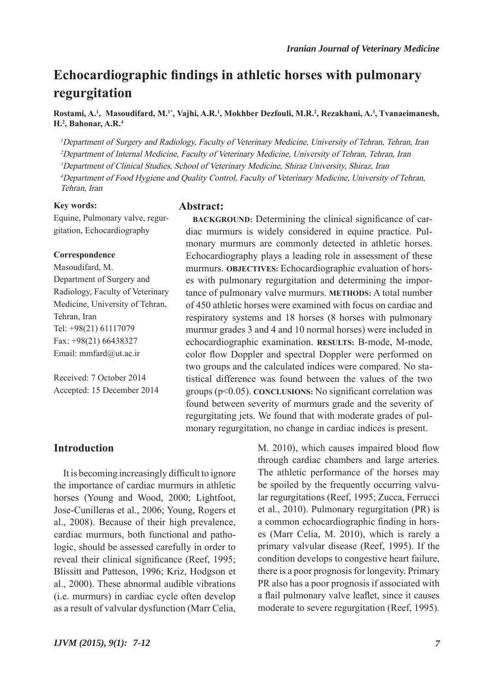# **Echocardiographic findings in athletic horses with pulmonary regurgitation**

**Rostami, A.1 , Masoudifard, M.1\*, Vajhi, A.R.1 , Mokhber Dezfouli, M.R.2 , Rezakhani, A.3 , Tvanaeimanesh, H.2 , Bahonar, A.R.4**

<sup>1</sup>Department of Surgery and Radiology, Faculty of Veterinary Medicine, University of Tehran, Tehran, Iran <sup>2</sup>Department of Internal Medicine, Faculty of Veterinary Medicine, University of Tehran, Tehran, Iran <sup>3</sup>Department of Clinical Studies, School of Veterinary Medicine, Shiraz University, Shiraz, Iran <sup>4</sup>Department of Food Hygiene and Quality Control, Faculty of Veterinary Medicine, University of Tehran, Tehran, Iran

#### **Key words:**

Equine, Pulmonary valve, regurgitation, Echocardiography

#### **Correspondence**

Masoudifard, M. Department of Surgery and Radiology, Faculty of Veterinary Medicine, University of Tehran, Tehran, Iran Tel: +98(21) 61117079 Fax: +98(21) 66438327 Email: mmfard@ut.ac.ir

Received: 7 October 2014 Accepted: 15 December 2014

## **Abstract:**

**BACKGROUND:** Determining the clinical significance of cardiac murmurs is widely considered in equine practice. Pulmonary murmurs are commonly detected in athletic horses. Echocardiography plays a leading role in assessment of these murmurs. **OBJECTIVES:** Echocardiographic evaluation of horses with pulmonary regurgitation and determining the importance of pulmonary valve murmurs. **METHODS:** A total number of 450 athletic horses were examined with focus on cardiac and respiratory systems and 18 horses (8 horses with pulmonary murmur grades 3 and 4 and 10 normal horses) were included in echocardiographic examination. **RESULTS:** B-mode, M-mode, color flow Doppler and spectral Doppler were performed on two groups and the calculated indices were compared. No statistical difference was found between the values of the two groups (p<0.05). **CONCLUSIONS:** No significant correlation was found between severity of murmurs grade and the severity of regurgitating jets. We found that with moderate grades of pulmonary regurgitation, no change in cardiac indices is present.

# **Introduction**

It is becoming increasingly difficult to ignore the importance of cardiac murmurs in athletic horses (Young and Wood, 2000; Lightfoot, Jose-Cunilleras et al., 2006; Young, Rogers et al., 2008). Because of their high prevalence, cardiac murmurs, both functional and pathologic, should be assessed carefully in order to reveal their clinical significance (Reef, 1995; Blissitt and Patteson, 1996; Kriz, Hodgson et al., 2000). These abnormal audible vibrations (i.e. murmurs) in cardiac cycle often develop as a result of valvular dysfunction (Marr Celia,

M. 2010), which causes impaired blood flow through cardiac chambers and large arteries. The athletic performance of the horses may be spoiled by the frequently occurring valvular regurgitations (Reef, 1995; Zucca, Ferrucci et al., 2010). Pulmonary regurgitation (PR) is a common echocardiographic finding in horses (Marr Celia, M. 2010), which is rarely a primary valvular disease (Reef, 1995). If the condition develops to congestive heart failure, there is a poor prognosis for longevity. Primary PR also has a poor prognosis if associated with a flail pulmonary valve leaflet, since it causes moderate to severe regurgitation (Reef, 1995).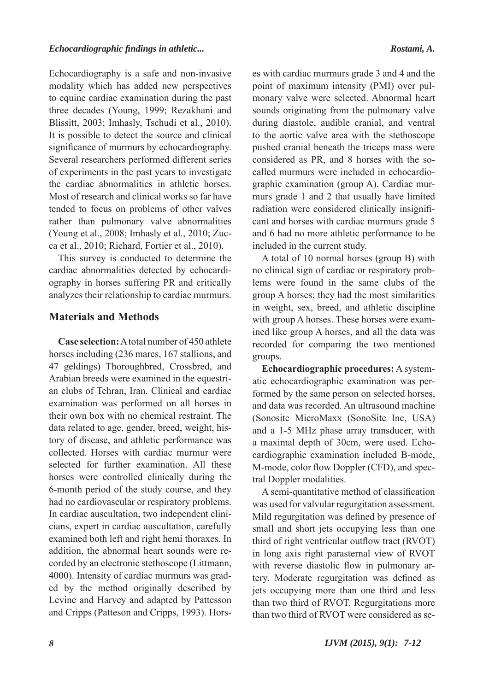Echocardiography is a safe and non-invasive modality which has added new perspectives to equine cardiac examination during the past three decades (Young, 1999; Rezakhani and Blissitt, 2003; Imhasly, Tschudi et al., 2010). It is possible to detect the source and clinical significance of murmurs by echocardiography. Several researchers performed different series of experiments in the past years to investigate the cardiac abnormalities in athletic horses. Most of research and clinical works so far have tended to focus on problems of other valves rather than pulmonary valve abnormalities (Young et al., 2008; Imhasly et al., 2010; Zucca et al., 2010; Richard, Fortier et al., 2010).

This survey is conducted to determine the cardiac abnormalities detected by echocardiography in horses suffering PR and critically analyzes their relationship to cardiac murmurs.

## **Materials and Methods**

**Case selection:** A total number of 450 athlete horses including (236 mares, 167 stallions, and 47 geldings) Thoroughbred, Crossbred, and Arabian breeds were examined in the equestrian clubs of Tehran, Iran. Clinical and cardiac examination was performed on all horses in their own box with no chemical restraint. The data related to age, gender, breed, weight, history of disease, and athletic performance was collected. Horses with cardiac murmur were selected for further examination. All these horses were controlled clinically during the 6-month period of the study course, and they had no cardiovascular or respiratory problems. In cardiac auscultation, two independent clinicians, expert in cardiac auscultation, carefully examined both left and right hemi thoraxes. In addition, the abnormal heart sounds were recorded by an electronic stethoscope (Littmann, 4000). Intensity of cardiac murmurs was graded by the method originally described by Levine and Harvey and adapted by Pattesson and Cripps (Patteson and Cripps, 1993). Horses with cardiac murmurs grade 3 and 4 and the point of maximum intensity (PMI) over pulmonary valve were selected. Abnormal heart sounds originating from the pulmonary valve during diastole, audible cranial, and ventral to the aortic valve area with the stethoscope pushed cranial beneath the triceps mass were considered as PR, and 8 horses with the socalled murmurs were included in echocardiographic examination (group A). Cardiac murmurs grade 1 and 2 that usually have limited radiation were considered clinically insignificant and horses with cardiac murmurs grade 5 and 6 had no more athletic performance to be included in the current study.

A total of 10 normal horses (group B) with no clinical sign of cardiac or respiratory problems were found in the same clubs of the group A horses; they had the most similarities in weight, sex, breed, and athletic discipline with group A horses. These horses were examined like group A horses, and all the data was recorded for comparing the two mentioned groups.

**Echocardiographic procedures:** A systematic echocardiographic examination was performed by the same person on selected horses, and data was recorded. An ultrasound machine (Sonosite MicroMaxx (SonoSite Inc, USA) and a 1-5 MHz phase array transducer, with a maximal depth of 30cm, were used. Echocardiographic examination included B-mode, M-mode, color flow Doppler (CFD), and spectral Doppler modalities.

A semi-quantitative method of classification was used for valvular regurgitation assessment. Mild regurgitation was defined by presence of small and short jets occupying less than one third of right ventricular outflow tract (RVOT) in long axis right parasternal view of RVOT with reverse diastolic flow in pulmonary artery. Moderate regurgitation was defined as jets occupying more than one third and less than two third of RVOT. Regurgitations more than two third of RVOT were considered as se-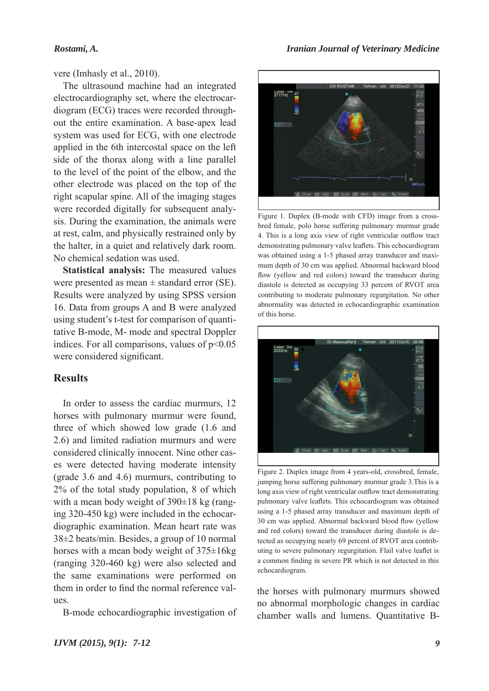#### *Rostami, A.*

vere (Imhasly et al., 2010).

The ultrasound machine had an integrated electrocardiography set, where the electrocardiogram (ECG) traces were recorded throughout the entire examination. A base-apex lead system was used for ECG, with one electrode applied in the 6th intercostal space on the left side of the thorax along with a line parallel to the level of the point of the elbow, and the other electrode was placed on the top of the right scapular spine. All of the imaging stages were recorded digitally for subsequent analysis. During the examination, the animals were at rest, calm, and physically restrained only by the halter, in a quiet and relatively dark room. No chemical sedation was used.

**Statistical analysis:** The measured values were presented as mean  $\pm$  standard error (SE). Results were analyzed by using SPSS version 16. Data from groups A and B were analyzed using student's t-test for comparison of quantitative B-mode, M- mode and spectral Doppler indices. For all comparisons, values of  $p<0.05$ were considered significant.

## **Results**

In order to assess the cardiac murmurs, 12 horses with pulmonary murmur were found, three of which showed low grade (1.6 and 2.6) and limited radiation murmurs and were considered clinically innocent. Nine other cases were detected having moderate intensity (grade 3.6 and 4.6) murmurs, contributing to 2% of the total study population, 8 of which with a mean body weight of 390 $\pm$ 18 kg (ranging 320-450 kg) were included in the echocardiographic examination. Mean heart rate was 38±2 beats/min. Besides, a group of 10 normal horses with a mean body weight of 375±16kg (ranging 320-460 kg) were also selected and the same examinations were performed on them in order to find the normal reference values.

B-mode echocardiographic investigation of



Figure 1. Duplex (B-mode with CFD) image from a crossbred female, polo horse suffering pulmonary murmur grade 4. This is a long axis view of right ventricular outflow tract demonstrating pulmonary valve leaflets. This echocardiogram was obtained using a 1-5 phased array transducer and maximum depth of 30 cm was applied. Abnormal backward blood flow (yellow and red colors) toward the transducer during diastole is detected as occupying 33 percent of RVOT area contributing to moderate pulmonary regurgitation. No other abnormality was detected in echocardiographic examination of this horse.



Figure 2. Duplex image from 4 years-old, crossbred, female, jumping horse suffering pulmonary murmur grade 3.This is a long axis view of right ventricular outflow tract demonstrating pulmonary valve leaflets. This echocardiogram was obtained using a 1-5 phased array transducer and maximum depth of 30 cm was applied. Abnormal backward blood flow (yellow and red colors) toward the transducer during diastole is detected as occupying nearly 69 percent of RVOT area contributing to severe pulmonary regurgitation. Flail valve leaflet is a common finding in severe PR which is not detected in this echocardiogram.

the horses with pulmonary murmurs showed no abnormal morphologic changes in cardiac chamber walls and lumens. Quantitative B-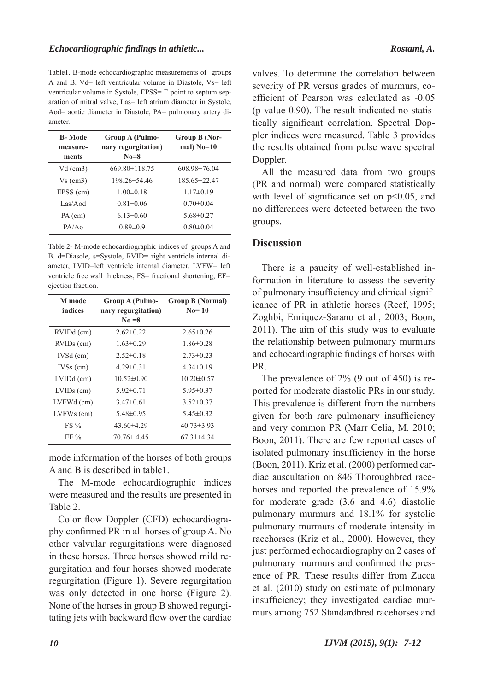Table1. B-mode echocardiographic measurements of groups A and B. Vd= left ventricular volume in Diastole, Vs= left ventricular volume in Systole, EPSS= E point to septum separation of mitral valve, Las= left atrium diameter in Systole, Aod= aortic diameter in Diastole, PA= pulmonary artery diameter.

| <b>B</b> -Mode<br>measure-<br>ments | <b>Group A (Pulmo-</b><br>nary regurgitation)<br>$No = 8$ | Group B (Nor-<br>mal) $No=10$ |
|-------------------------------------|-----------------------------------------------------------|-------------------------------|
| $Vd$ (cm3)                          | $669.80 \pm 118.75$                                       | $608.98 \pm 76.04$            |
| $Vs$ (cm3)                          | 198.26±54.46                                              | 185.65 ± 22.47                |
| EPSS (cm)                           | $1.00 \pm 0.18$                                           | $1.17\pm0.19$                 |
| Las/Aod                             | $0.81 \pm 0.06$                                           | $0.70 \pm 0.04$               |
| PA (cm)                             | $6.13\pm0.60$                                             | $5.68 \pm 0.27$               |
| PA/AO                               | $0.89 \pm 0.9$                                            | $0.80 \pm 0.04$               |

Table 2- M-mode echocardiographic indices of groups A and B. d=Diasole, s=Systole, RVID= right ventricle internal diameter, LVID=left ventricle internal diameter, LVFW= left ventricle free wall thickness, FS= fractional shortening, EF= ejection fraction.

| M mode<br>indices | Group A (Pulmo-<br>nary regurgitation)<br>$No = 8$ | <b>Group B (Normal)</b><br>$No=10$ |
|-------------------|----------------------------------------------------|------------------------------------|
| RVIDd (cm)        | $2.62\pm0.22$                                      | $2.65 \pm 0.26$                    |
| RVIDs (cm)        | $1.63 \pm 0.29$                                    | $1.86 \pm 0.28$                    |
| $IVSd$ (cm)       | $2.52\pm0.18$                                      | $2.73 \pm 0.23$                    |
| $IVSS$ (cm)       | $4.29 \pm 0.31$                                    | $4.34\pm0.19$                      |
| $LVIDd$ (cm)      | $10.52 \pm 0.90$                                   | $10.20 \pm 0.57$                   |
| $LVIDs$ (cm)      | $5.92 \pm 0.71$                                    | $5.95 \pm 0.37$                    |
| LVFWd (cm)        | $3.47\pm0.61$                                      | $3.52\pm0.37$                      |
| LVFWs (cm)        | $5.48\pm0.95$                                      | $5.45\pm0.32$                      |
| $FS\%$            | $43.60\pm4.29$                                     | $40.73 \pm 3.93$                   |
| $EF\%$            | $70.76 \pm 4.45$                                   | $67.31 \pm 4.34$                   |

mode information of the horses of both groups A and B is described in table1.

The M-mode echocardiographic indices were measured and the results are presented in Table 2.

Color flow Doppler (CFD) echocardiography confirmed PR in all horses of group A. No other valvular regurgitations were diagnosed in these horses. Three horses showed mild regurgitation and four horses showed moderate regurgitation (Figure 1). Severe regurgitation was only detected in one horse (Figure 2). None of the horses in group B showed regurgitating jets with backward flow over the cardiac

valves. To determine the correlation between severity of PR versus grades of murmurs, coefficient of Pearson was calculated as -0.05 (p value 0.90). The result indicated no statistically significant correlation. Spectral Doppler indices were measured. Table 3 provides the results obtained from pulse wave spectral Doppler.

All the measured data from two groups (PR and normal) were compared statistically with level of significance set on p<0.05, and no differences were detected between the two groups.

## **Discussion**

There is a paucity of well-established information in literature to assess the severity of pulmonary insufficiency and clinical significance of PR in athletic horses (Reef, 1995; Zoghbi, Enriquez-Sarano et al., 2003; Boon, 2011). The aim of this study was to evaluate the relationship between pulmonary murmurs and echocardiographic findings of horses with PR.

The prevalence of 2% (9 out of 450) is reported for moderate diastolic PRs in our study. This prevalence is different from the numbers given for both rare pulmonary insufficiency and very common PR (Marr Celia, M. 2010; Boon, 2011). There are few reported cases of isolated pulmonary insufficiency in the horse (Boon, 2011). Kriz et al. (2000) performed cardiac auscultation on 846 Thoroughbred racehorses and reported the prevalence of 15.9% for moderate grade (3.6 and 4.6) diastolic pulmonary murmurs and 18.1% for systolic pulmonary murmurs of moderate intensity in racehorses (Kriz et al., 2000). However, they just performed echocardiography on 2 cases of pulmonary murmurs and confirmed the presence of PR. These results differ from Zucca et al. (2010) study on estimate of pulmonary insufficiency; they investigated cardiac murmurs among 752 Standardbred racehorses and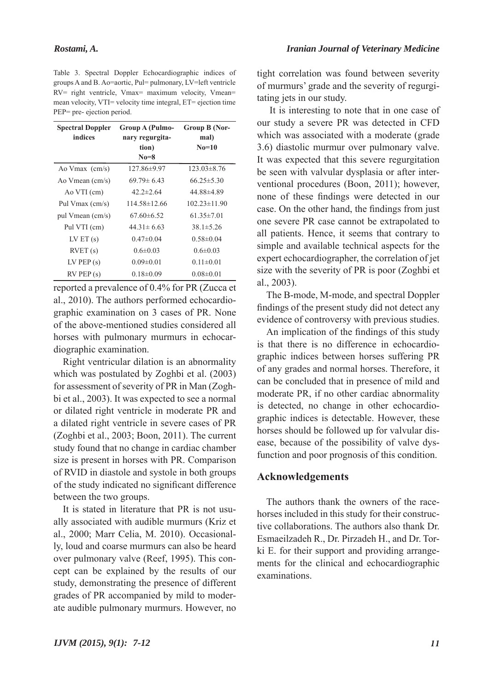Table 3. Spectral Doppler Echocardiographic indices of groups A and B. Ao=aortic, Pul= pulmonary, LV=left ventricle RV= right ventricle, Vmax= maximum velocity, Vmean= mean velocity, VTI= velocity time integral, ET= ejection time PEP= pre- ejection period.

| <b>Spectral Doppler</b>  | <b>Group A (Pulmo-</b> | Group B (Nor-      |
|--------------------------|------------------------|--------------------|
| indices                  | nary regurgita-        | mal)               |
|                          | tion)                  | $No=10$            |
|                          | $No = 8$               |                    |
| Ao Vmax $\text{(cm/s)}$  | 127.86±9.97            | $123.03\pm8.76$    |
| Ao Vmean $\text{(cm/s)}$ | $69.79 \pm 6.43$       | $66.25 \pm 5.30$   |
| Ao VTI (cm)              | $42.2 \pm 2.64$        | 44.88±4.89         |
| Pul Vmax (cm/s)          | $114.58 \pm 12.66$     | $102.23 \pm 11.90$ |
| pul Vmean (cm/s)         | $67.60\pm 6.52$        | $61.35 \pm 7.01$   |
| Pul VTI (cm)             | $44.31 \pm 6.63$       | $38.1 \pm 5.26$    |
| LV ET $(s)$              | $0.47\pm0.04$          | $0.58 \pm 0.04$    |
| RVET(s)                  | $0.6 \pm 0.03$         | $0.6 \pm 0.03$     |
| $LV$ PEP $(s)$           | $0.09 \pm 0.01$        | $0.11 \pm 0.01$    |
| $RV$ PEP $(s)$           | $0.18 \pm 0.09$        | $0.08 \pm 0.01$    |

reported a prevalence of 0.4% for PR (Zucca et al., 2010). The authors performed echocardiographic examination on 3 cases of PR. None of the above-mentioned studies considered all horses with pulmonary murmurs in echocardiographic examination.

Right ventricular dilation is an abnormality which was postulated by Zoghbi et al. (2003) for assessment of severity of PR in Man (Zoghbi et al., 2003). It was expected to see a normal or dilated right ventricle in moderate PR and a dilated right ventricle in severe cases of PR (Zoghbi et al., 2003; Boon, 2011). The current study found that no change in cardiac chamber size is present in horses with PR. Comparison of RVID in diastole and systole in both groups of the study indicated no significant difference between the two groups.

It is stated in literature that PR is not usually associated with audible murmurs (Kriz et al., 2000; Marr Celia, M. 2010). Occasionally, loud and coarse murmurs can also be heard over pulmonary valve (Reef, 1995). This concept can be explained by the results of our study, demonstrating the presence of different grades of PR accompanied by mild to moderate audible pulmonary murmurs. However, no

tight correlation was found between severity of murmurs' grade and the severity of regurgitating jets in our study.

 It is interesting to note that in one case of our study a severe PR was detected in CFD which was associated with a moderate (grade 3.6) diastolic murmur over pulmonary valve. It was expected that this severe regurgitation be seen with valvular dysplasia or after interventional procedures (Boon, 2011); however, none of these findings were detected in our case. On the other hand, the findings from just one severe PR case cannot be extrapolated to all patients. Hence, it seems that contrary to simple and available technical aspects for the expert echocardiographer, the correlation of jet size with the severity of PR is poor (Zoghbi et al., 2003).

The B-mode, M-mode, and spectral Doppler findings of the present study did not detect any evidence of controversy with previous studies.

An implication of the findings of this study is that there is no difference in echocardiographic indices between horses suffering PR of any grades and normal horses. Therefore, it can be concluded that in presence of mild and moderate PR, if no other cardiac abnormality is detected, no change in other echocardiographic indices is detectable. However, these horses should be followed up for valvular disease, because of the possibility of valve dysfunction and poor prognosis of this condition.

## **Acknowledgements**

The authors thank the owners of the racehorses included in this study for their constructive collaborations. The authors also thank Dr. Esmaeilzadeh R., Dr. Pirzadeh H., and Dr. Torki E. for their support and providing arrangements for the clinical and echocardiographic examinations.